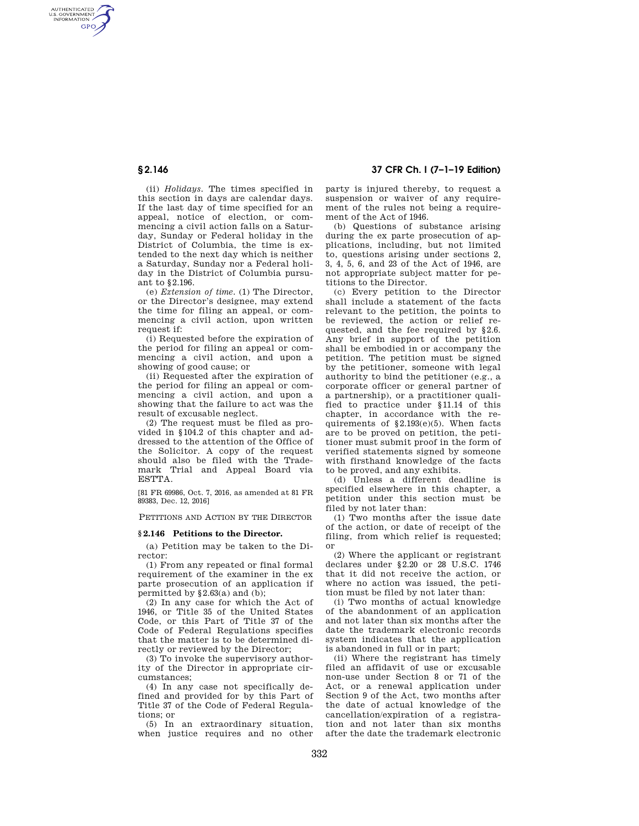AUTHENTICATED<br>U.S. GOVERNMENT<br>INFORMATION **GPO** 

> (ii) *Holidays.* The times specified in this section in days are calendar days. If the last day of time specified for an appeal, notice of election, or commencing a civil action falls on a Saturday, Sunday or Federal holiday in the District of Columbia, the time is extended to the next day which is neither a Saturday, Sunday nor a Federal holiday in the District of Columbia pursuant to §2.196.

> (e) *Extension of time.* (1) The Director, or the Director's designee, may extend the time for filing an appeal, or commencing a civil action, upon written request if:

> (i) Requested before the expiration of the period for filing an appeal or commencing a civil action, and upon a showing of good cause; or

> (ii) Requested after the expiration of the period for filing an appeal or commencing a civil action, and upon a showing that the failure to act was the result of excusable neglect.

> (2) The request must be filed as provided in §104.2 of this chapter and addressed to the attention of the Office of the Solicitor. A copy of the request should also be filed with the Trademark Trial and Appeal Board via ESTTA.

[81 FR 69986, Oct. 7, 2016, as amended at 81 FR 89383, Dec. 12, 2016]

PETITIONS AND ACTION BY THE DIRECTOR

## **§ 2.146 Petitions to the Director.**

(a) Petition may be taken to the Director:

(1) From any repeated or final formal requirement of the examiner in the ex parte prosecution of an application if permitted by  $§2.63(a)$  and (b);

(2) In any case for which the Act of 1946, or Title 35 of the United States Code, or this Part of Title 37 of the Code of Federal Regulations specifies that the matter is to be determined directly or reviewed by the Director;

(3) To invoke the supervisory authority of the Director in appropriate circumstances;

(4) In any case not specifically defined and provided for by this Part of Title 37 of the Code of Federal Regulations; or

(5) In an extraordinary situation, when justice requires and no other

**§ 2.146 37 CFR Ch. I (7–1–19 Edition)** 

party is injured thereby, to request a suspension or waiver of any requirement of the rules not being a requirement of the Act of 1946.

(b) Questions of substance arising during the ex parte prosecution of applications, including, but not limited to, questions arising under sections 2, 3, 4, 5, 6, and 23 of the Act of 1946, are not appropriate subject matter for petitions to the Director.

(c) Every petition to the Director shall include a statement of the facts relevant to the petition, the points to be reviewed, the action or relief requested, and the fee required by §2.6. Any brief in support of the petition shall be embodied in or accompany the petition. The petition must be signed by the petitioner, someone with legal authority to bind the petitioner (e.g., a corporate officer or general partner of a partnership), or a practitioner qualified to practice under §11.14 of this chapter, in accordance with the requirements of  $§2.193(e)(5)$ . When facts are to be proved on petition, the petitioner must submit proof in the form of verified statements signed by someone with firsthand knowledge of the facts to be proved, and any exhibits.

(d) Unless a different deadline is specified elsewhere in this chapter, a petition under this section must be filed by not later than:

(1) Two months after the issue date of the action, or date of receipt of the filing, from which relief is requested; or

(2) Where the applicant or registrant declares under §2.20 or 28 U.S.C. 1746 that it did not receive the action, or where no action was issued, the petition must be filed by not later than:

(i) Two months of actual knowledge of the abandonment of an application and not later than six months after the date the trademark electronic records system indicates that the application is abandoned in full or in part;

(ii) Where the registrant has timely filed an affidavit of use or excusable non-use under Section 8 or 71 of the Act, or a renewal application under Section 9 of the Act, two months after the date of actual knowledge of the cancellation/expiration of a registration and not later than six months after the date the trademark electronic